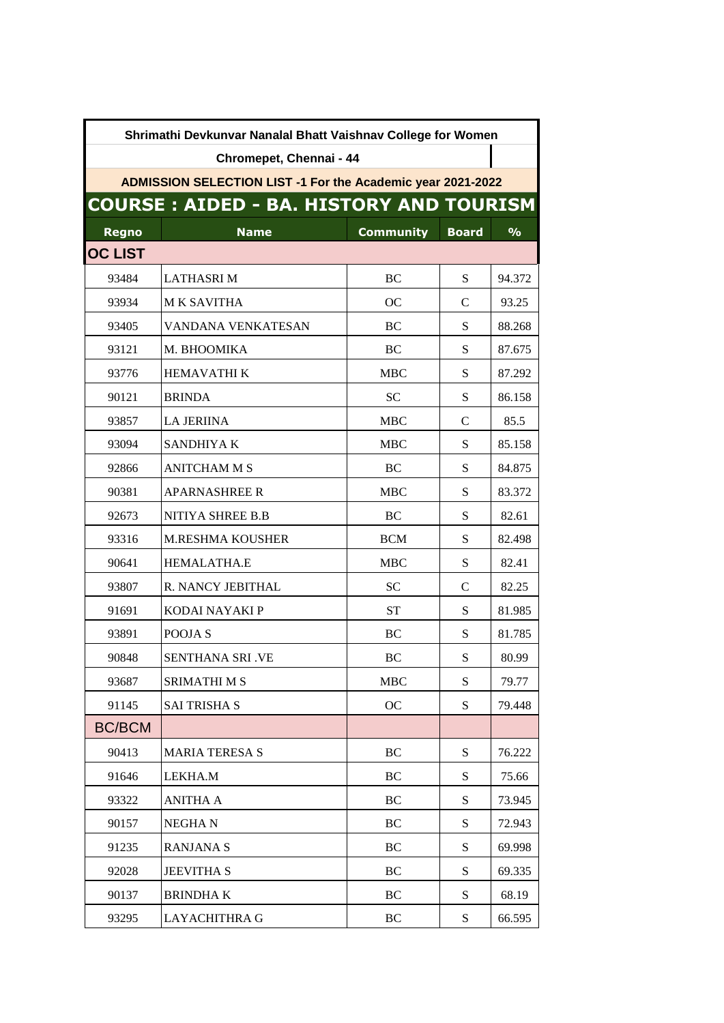| Shrimathi Devkunvar Nanalal Bhatt Vaishnav College for Women |                         |                  |              |               |  |  |  |
|--------------------------------------------------------------|-------------------------|------------------|--------------|---------------|--|--|--|
| Chromepet, Chennai - 44                                      |                         |                  |              |               |  |  |  |
| ADMISSION SELECTION LIST -1 For the Academic year 2021-2022  |                         |                  |              |               |  |  |  |
| <b>COURSE: AIDED - BA. HISTORY AND TOURISM</b>               |                         |                  |              |               |  |  |  |
| Regno                                                        | <b>Name</b>             | <b>Community</b> | <b>Board</b> | $\frac{9}{6}$ |  |  |  |
| <b>OC LIST</b>                                               |                         |                  |              |               |  |  |  |
| 93484                                                        | <b>LATHASRIM</b>        | BC               | S            | 94.372        |  |  |  |
| 93934                                                        | <b>MK SAVITHA</b>       | <sub>OC</sub>    | C            | 93.25         |  |  |  |
| 93405                                                        | VANDANA VENKATESAN      | BC               | S            | 88.268        |  |  |  |
| 93121                                                        | M. BHOOMIKA             | BC               | S            | 87.675        |  |  |  |
| 93776                                                        | <b>HEMAVATHI K</b>      | <b>MBC</b>       | S            | 87.292        |  |  |  |
| 90121                                                        | <b>BRINDA</b>           | <b>SC</b>        | ${\bf S}$    | 86.158        |  |  |  |
| 93857                                                        | <b>LA JERIINA</b>       | <b>MBC</b>       | C            | 85.5          |  |  |  |
| 93094                                                        | SANDHIYA K              | <b>MBC</b>       | S            | 85.158        |  |  |  |
| 92866                                                        | <b>ANITCHAM M S</b>     | BC               | S            | 84.875        |  |  |  |
| 90381                                                        | <b>APARNASHREE R</b>    | <b>MBC</b>       | S            | 83.372        |  |  |  |
| 92673                                                        | NITIYA SHREE B.B        | BC               | S            | 82.61         |  |  |  |
| 93316                                                        | <b>M.RESHMA KOUSHER</b> | <b>BCM</b>       | S            | 82.498        |  |  |  |
| 90641                                                        | HEMALATHA.E             | <b>MBC</b>       | S            | 82.41         |  |  |  |
| 93807                                                        | R. NANCY JEBITHAL       | <b>SC</b>        | C            | 82.25         |  |  |  |
| 91691                                                        | KODAI NAYAKI P          | <b>ST</b>        | S            | 81.985        |  |  |  |
| 93891                                                        | POOJA <sub>S</sub>      | BC               | S            | 81.785        |  |  |  |
| 90848                                                        | SENTHANA SRI .VE        | BC               | ${\bf S}$    | 80.99         |  |  |  |
| 93687                                                        | <b>SRIMATHI M S</b>     | <b>MBC</b>       | S            | 79.77         |  |  |  |
| 91145                                                        | <b>SAI TRISHA S</b>     | OC               | S            | 79.448        |  |  |  |
| <b>BC/BCM</b>                                                |                         |                  |              |               |  |  |  |
| 90413                                                        | <b>MARIA TERESA S</b>   | <b>BC</b>        | S            | 76.222        |  |  |  |
| 91646                                                        | LEKHA.M                 | BC               | S            | 75.66         |  |  |  |
| 93322                                                        | <b>ANITHA A</b>         | BC               | S            | 73.945        |  |  |  |
| 90157                                                        | <b>NEGHAN</b>           | BC               | S            | 72.943        |  |  |  |
| 91235                                                        | <b>RANJANA S</b>        | BC               | S            | 69.998        |  |  |  |
| 92028                                                        | <b>JEEVITHA S</b>       | BC               | S            | 69.335        |  |  |  |
| 90137                                                        | <b>BRINDHAK</b>         | BC               | S            | 68.19         |  |  |  |
| 93295                                                        | <b>LAYACHITHRA G</b>    | BC               | S            | 66.595        |  |  |  |